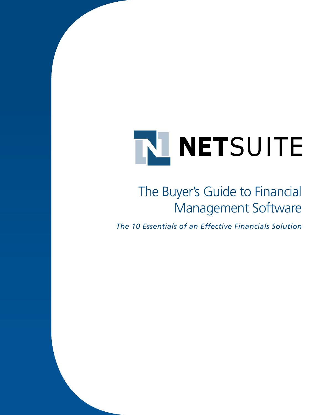# The Buyer's Guide to Financial Management Software

*The 10 Essentials of an Effective Financials Solution*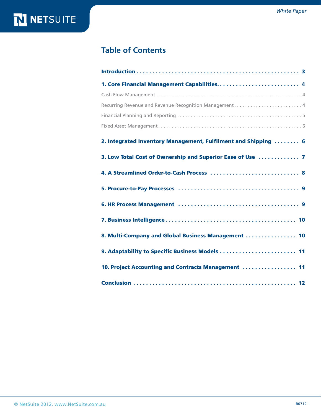# N NETSUITE

### **Table of Contents**

| 1. Core Financial Management Capabilities 4                    |
|----------------------------------------------------------------|
|                                                                |
| Recurring Revenue and Revenue Recognition Management 4         |
|                                                                |
|                                                                |
| 2. Integrated Inventory Management, Fulfilment and Shipping  6 |
| 3. Low Total Cost of Ownership and Superior Ease of Use  7     |
|                                                                |
|                                                                |
|                                                                |
|                                                                |
| 8. Multi-Company and Global Business Management  10            |
| 9. Adaptability to Specific Business Models  11                |
| 10. Project Accounting and Contracts Management  11            |
|                                                                |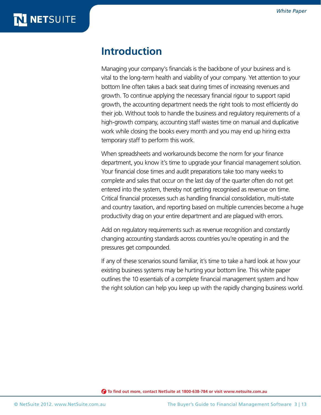### **Introduction**

Managing your company's financials is the backbone of your business and is vital to the long-term health and viability of your company. Yet attention to your bottom line often takes a back seat during times of increasing revenues and growth. To continue applying the necessary financial rigour to support rapid growth, the accounting department needs the right tools to most efficiently do their job. Without tools to handle the business and regulatory requirements of a high-growth company, accounting staff wastes time on manual and duplicative work while closing the books every month and you may end up hiring extra temporary staff to perform this work.

When spreadsheets and workarounds become the norm for your finance department, you know it's time to upgrade your financial management solution. Your financial close times and audit preparations take too many weeks to complete and sales that occur on the last day of the quarter often do not get entered into the system, thereby not getting recognised as revenue on time. Critical financial processes such as handling financial consolidation, multi-state and country taxation, and reporting based on multiple currencies become a huge productivity drag on your entire department and are plagued with errors.

Add on regulatory requirements such as revenue recognition and constantly changing accounting standards across countries you're operating in and the pressures get compounded.

If any of these scenarios sound familiar, it's time to take a hard look at how your existing business systems may be hurting your bottom line. This white paper outlines the 10 essentials of a complete financial management system and how the right solution can help you keep up with the rapidly changing business world.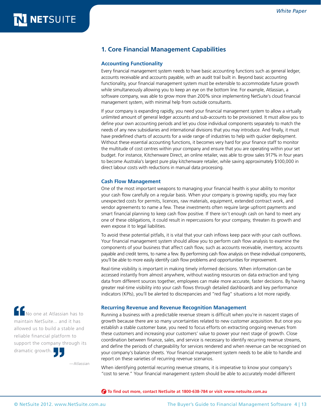### <span id="page-3-0"></span>**1. Core Financial Management Capabilities**

#### **Accounting Functionality**

Every financial management system needs to have basic accounting functions such as general ledger, accounts receivable and accounts payable, with an audit trail built in. Beyond basic accounting functionality, your financial management system must be extensible to accommodate future growth while simultaneously allowing you to keep an eye on the bottom line. For example, Atlassian, a software company, was able to grow more than 200% since implementing NetSuite's cloud financial management system, with minimal help from outside consultants.

If your company is expanding rapidly, you need your financial management system to allow a virtually unlimited amount of general ledger accounts and sub-accounts to be provisioned. It must allow you to define your own accounting periods and let you close individual components separately to match the needs of any new subsidiaries and international divisions that you may introduce. And finally, it must have predefined charts of accounts for a wide range of industries to help with quicker deployment. Without these essential accounting functions, it becomes very hard for your finance staff to monitor the multitude of cost centres within your company and ensure that you are operating within your set budget. For instance, Kitchenware Direct, an online retailer, was able to grow sales 917% in four years to become Australia's largest pure play kitchenware retailer, while saving approximately \$100,000 in direct labour costs with reductions in manual data processing.

#### **Cash Flow Management**

One of the most important weapons to managing your financial health is your ability to monitor your cash flow carefully on a regular basis. When your company is growing rapidly, you may face unexpected costs for permits, licences, raw materials, equipment, extended contract work, and vendor agreements to name a few. These investments often require large upfront payments and smart financial planning to keep cash flow positive. If there isn't enough cash on hand to meet any one of these obligations, it could result in repercussions for your company, threaten its growth and even expose it to legal liabilities.

To avoid these potential pitfalls, it is vital that your cash inflows keep pace with your cash outflows. Your financial management system should allow you to perform cash flow analysis to examine the components of your business that affect cash flow, such as accounts receivable, inventory, accounts payable and credit terms, to name a few. By performing cash flow analysis on these individual components, you'll be able to more easily identify cash flow problems and opportunities for improvement.

Real-time visibility is important in making timely informed decisions. When information can be accessed instantly from almost anywhere, without wasting resources on data extraction and tying data from different sources together, employees can make more accurate, faster decisions. By having greater real-time visibility into your cash flows through detailed dashboards and key performance indicators (KPIs), you'll be alerted to discrepancies and "red flag" situations a lot more rapidly.

#### **Recurring Revenue and Revenue Recognition Management**

Running a business with a predictable revenue stream is difficult when you're in nascent stages of growth because there are so many uncertainties related to new customer acquisition. But once you establish a stable customer base, you need to focus efforts on extracting ongoing revenues from these customers and increasing your customers' value to power your next stage of growth. Close coordination between finance, sales, and service is necessary to identify recurring revenue streams, and define the periods of chargeability for services rendered and when revenue can be recognised on your company's balance sheets. Your financial management system needs to be able to handle and report on these varieties of recurring revenue scenarios.

When identifying potential recurring revenue streams, it is imperative to know your company's "cost to serve." Your financial management system should be able to accurately model different

 **To find out more, contact NetSuite at 1800-638-784 or visit www.netsuite.com.au**

No one at Atlassian has to maintain NetSuite... and it has allowed us to build a stable and reliable financial platform to support the company through its dramatic growth.

—Atlassian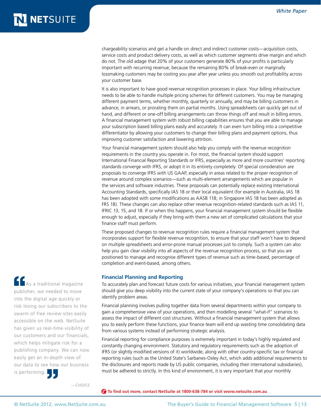chargeability scenarios and get a handle on direct and indirect customer costs—acquisition costs, service costs and product delivery costs, as well as which customer segments drive margin and which do not. The old adage that 20% of your customers generate 80% of your profits is particularly important with recurring revenue, because the remaining 80% of break-even or marginally lossmaking customers may be costing you year after year unless you smooth out profitability across your customer base.

It is also important to have good revenue recognition processes in place. Your billing infrastructure needs to be able to handle multiple pricing schemes for different customers. You may be managing different payment terms, whether monthly, quarterly or annually, and may be billing customers in advance, in arrears, or prorating them on partial months. Using spreadsheets can quickly get out of hand, and different or one-off billing arrangements can throw things off and result in billing errors. A financial management system with robust billing capabilities ensures that you are able to manage your subscription based billing plans easily and accurately. It can even turn billing into a competitive differentiator by allowing your customers to change their billing plans and payment options, thus improving customer satisfaction and lowering attrition.

Your financial management system should also help you comply with the revenue recognition requirements in the country you operate in. For most, the financial system should support International Financial Reporting Standards or IFRS, especially as more and more countries' reporting standards converge with IFRS, or adopt it in its entirety completely. Of special consideration are proposals to converge IFRS with US GAAP, especially in areas related to the proper recognition of revenue around complex scenarios—such as multi-element arrangements which are popular in the services and software industries. These proposals can potentially replace existing International Accounting Standards, specifically IAS 18 or their local equivalent (for example in Australia, IAS 18 has been adopted with some modifications as AASB 118; in Singapore IAS 18 has been adopted as FRS 18). These changes can also replace other revenue recognition-related standards such as IAS 11, IFRIC 13, 15, and 18. If or when this happens, your financial management system should be flexible enough to adjust, especially if they bring with them a new set of complicated calculations that your finance staff must perform.

These proposed changes to revenue recognition rules require a financial management system that incorporates support for flexible revenue recognition, to ensure that your staff won't have to depend on multiple spreadsheets and error-prone manual processes just to comply. Such a system can also help you gain clear visibility into all aspects of the revenue recognition process, so that you are positioned to manage and recognise different types of revenue such as time-based, percentage of completion and event-based, among others.

#### **Financial Planning and Reporting**

To accurately plan and forecast future costs for various initiatives, your financial management system should give you deep visibility into the current state of your company's operations so that you can identify problem areas.

Financial planning involves pulling together data from several departments within your company to gain a comprehensive view of your operations, and then modelling several "what-if" scenarios to assess the impact of different cost structures. Without a financial management system that allows you to easily perform these functions, your finance team will end up wasting time consolidating data from various systems instead of performing strategic analysis.

Financial reporting for compliance purposes is extremely important in today's highly regulated and constantly changing environment. Statutory and regulatory requirements such as the adoption of IFRS (or slightly modified versions of it) worldwide, along with other country-specific tax or financial reporting rules (such as the United State's Sarbanes-Oxley Act, which adds additional requirements to the disclosures and reports made by US public companies, including their international subsidiaries), must be adhered to strictly. In this kind of environment, it is very important that your monthly

—CHOICE

 **To find out more, contact NetSuite at 1800-638-784 or visit www.netsuite.com.au**

is performing.

**As a traditional magazine** publisher, we needed to move into the digital age quickly or risk losing our subscribers to the swarm of free review sites easily accessible on the web. NetSuite has given us real-time visibility of our customers and our financials, which helps mitigate risk for a publishing company. We can now easily get an in-depth view of our data to see how our business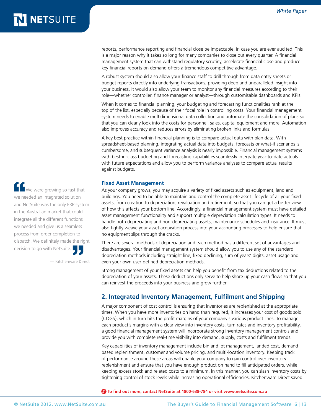reports, performance reporting and financial close be impeccable, in case you are ever audited. This is a major reason why it takes so long for many companies to close out every quarter. A financial management system that can withstand regulatory scrutiny, accelerate financial close and produce key financial reports on demand offers a tremendous competitive advantage.

A robust system should also allow your finance staff to drill through from data entry sheets or budget reports directly into underlying transactions, providing deep and unparalleled insight into your business. It would also allow your team to monitor any financial measures according to their role—whether controller, finance manager or analyst—through customisable dashboards and KPIs.

When it comes to financial planning, your budgeting and forecasting functionalities rank at the top of the list, especially because of their focal role in controlling costs. Your financial management system needs to enable multidimensional data collection and automate the consolidation of plans so that you can clearly look into the costs for personnel, sales, capital equipment and more. Automation also improves accuracy and reduces errors by eliminating broken links and formulas.

A key best practice within financial planning is to compare actual data with plan data. With spreadsheet-based planning, integrating actual data into budgets, forecasts or what-if scenarios is cumbersome, and subsequent variance analysis is nearly impossible. Financial management systems with best-in-class budgeting and forecasting capabilities seamlessly integrate year-to-date actuals with future expectations and allow you to perform variance analyses to compare actual results against budgets.

#### **Fixed Asset Management**

As your company grows, you may acquire a variety of fixed assets such as equipment, land and buildings. You need to be able to maintain and control the complete asset lifecycle of all your fixed assets, from creation to depreciation, revaluation and retirement, so that you can get a better view of how this affects your bottom line. Accordingly, a financial management system must have detailed asset management functionality and support multiple depreciation calculation types. It needs to handle both depreciating and non-depreciating assets, maintenance schedules and insurance. It must also tightly weave your asset acquisition process into your accounting processes to help ensure that no equipment slips through the cracks.

There are several methods of depreciation and each method has a different set of advantages and disadvantages. Your financial management system should allow you to use any of the standard depreciation methods including straight line, fixed declining, sum of years' digits, asset usage and even your own user-defined depreciation methods.

Strong management of your fixed assets can help you benefit from tax deductions related to the depreciation of your assets. These deductions only serve to help shore up your cash flows so that you can reinvest the proceeds into your business and grow further.

### **2. Integrated Inventory Management, Fulfilment and Shipping**

A major component of cost control is ensuring that inventories are replenished at the appropriate times. When you have more inventories on hand than required, it increases your cost of goods sold (COGS), which in turn hits the profit margins of your company's various product lines. To manage each product's margins with a clear view into inventory costs, turn rates and inventory profitability, a good financial management system will incorporate strong inventory management controls and provide you with complete real-time visibility into demand, supply, costs and fulfilment trends.

Key capabilities of inventory management include bin and lot management, landed cost, demand based replenishment, customer and volume pricing, and multi-location inventory. Keeping track of performance around these areas will enable your company to gain control over inventory replenishment and ensure that you have enough product on hand to fill anticipated orders, while keeping excess stock and related costs to a minimum. In this manner, you can slash inventory costs by tightening control of stock levels while increasing operational efficiencies. Kitchenware Direct saved

 **To find out more, contact NetSuite at 1800-638-784 or visit www.netsuite.com.au**

**T** We were growing so fast that we needed an integrated solution and NetSuite was the only ERP system in the Australian market that could integrate all the different functions we needed and give us a seamless process from order completion to dispatch. We definitely made the right decision to go with NetSuite.

— Kitchenware Direct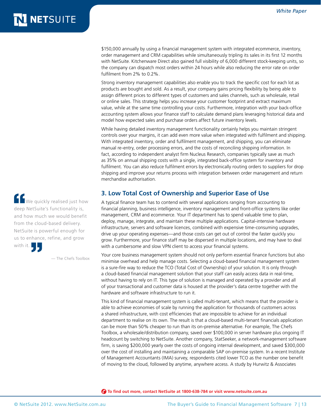\$150,000 annually by using a financial management system with integrated ecommerce, inventory, order management and CRM capabilities while simultaneously tripling its sales in its first 12 months with NetSuite. Kitchenware Direct also gained full visibility of 6,000 different stock-keeping units, so the company can dispatch most orders within 24 hours while also reducing the error rate on order fulfilment from 2% to 0.2%.

Strong inventory management capabilities also enable you to track the specific cost for each lot as products are bought and sold. As a result, your company gains pricing flexibility by being able to assign different prices to different types of customers and sales channels, such as wholesale, retail or online sales. This strategy helps you increase your customer footprint and extract maximum value, while at the same time controlling your costs. Furthermore, integration with your back-office accounting system allows your finance staff to calculate demand plans leveraging historical data and model how expected sales and purchase orders affect future inventory levels.

While having detailed inventory management functionality certainly helps you maintain stringent controls over your margins, it can add even more value when integrated with fulfilment and shipping. With integrated inventory, order and fulfilment management, and shipping, you can eliminate manual re-entry, order processing errors, and the costs of reconciling shipping information. In fact, according to independent analyst firm Nucleus Research, companies typically save as much as 35% on annual shipping costs with a single, integrated back-office system for inventory and fulfilment. You can also reduce fulfilment errors by electronically routing orders to suppliers for drop shipping and improve your returns process with integration between order management and return merchandise authorisation.

### **3. Low Total Cost of Ownership and Superior Ease of Use**

A typical finance team has to contend with several applications ranging from accounting to financial planning, business intelligence, inventory management and front-office systems like order management, CRM and ecommerce. Your IT department has to spend valuable time to plan, deploy, manage, integrate, and maintain these multiple applications. Capital-intensive hardware infrastructure, servers and software licences, combined with expensive time-consuming upgrades, drive up your operating expenses—and those costs can get out of control the faster quickly you grow. Furthermore, your finance staff may be dispersed in multiple locations, and may have to deal with a cumbersome and slow VPN client to access your financial systems.

Your core business management system should not only perform essential finance functions but also minimise overhead and help manage costs. Selecting a cloud-based financial management system is a sure-fire way to reduce the TCO (Total Cost of Ownership) of your solution. It is only through a cloud-based financial management solution that your staff can easily access data in real-time, without having to rely on IT. This type of solution is managed and operated by a provider and all of your transactional and customer data is housed at the provider's data centre together with the hardware and software infrastructure to run it.

This kind of financial management system is called multi-tenant, which means that the provider is able to achieve economies of scale by running the application for thousands of customers across a shared infrastructure, with cost efficiencies that are impossible to achieve for an individual department to realise on its own. The result is that a cloud-based multi-tenant financials application can be more than 50% cheaper to run than its on-premise alternative. For example, The Chefs Toolbox, a wholesale/distribution company, saved over \$100,000 in server hardware plus ongoing IT headcount by switching to NetSuite. Another company, StatSeeker, a network-management software firm, is saving \$200,000 yearly over the costs of ongoing internal development, and saved \$300,000 over the cost of installing and maintaining a comparable SAP on-premise system. In a recent Institute of Management Accountants (IMA) survey, respondents cited lower TCO as the number one benefit of moving to the cloud, followed by anytime, anywhere access. A study by Hurwitz & Associates

 **To find out more, contact NetSuite at 1800-638-784 or visit www.netsuite.com.au**

We quickly realised just how deep NetSuite's functionality is, and how much we would benefit from the cloud-based delivery. NetSuite is powerful enough for us to enhance, refine, and grow with it.

— The Chefs Toolbox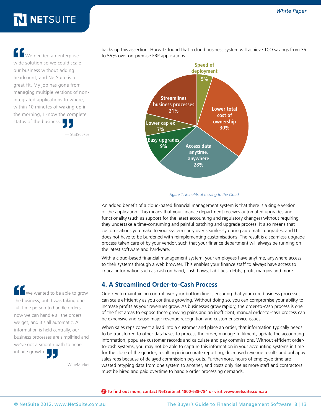We needed an enterprisewide solution so we could scale our business without adding headcount, and NetSuite is a great fit. My job has gone from managing multiple versions of nonintegrated applications to where, within 10 minutes of waking up in the morning, I know the complete status of the business.

— StatSeeker

backs up this assertion–Hurwitz found that a cloud business system will achieve TCO savings from 35 to 55% over on-premise ERP applications.



#### *Figure 1: Benefits of moving to the Cloud*

An added benefit of a cloud-based financial management system is that there is a single version of the application. This means that your finance department receives automated upgrades and functionality (such as support for the latest accounting and regulatory changes) without requiring they undertake a time-consuming and painful patching and upgrade process. It also means that customisations you make to your system carry over seamlessly during automatic upgrades, and IT does not have to be burdened with reimplementing customisations. The result is a seamless upgrade process taken care of by your vendor, such that your finance department will always be running on the latest software and hardware.

With a cloud-based financial management system, your employees have anytime, anywhere access to their systems through a web browser. This enables your finance staff to always have access to critical information such as cash on hand, cash flows, liabilities, debts, profit margins and more.

### **4. A Streamlined Order-to-Cash Process**

One key to maintaining control over your bottom line is ensuring that your core business processes can scale efficiently as you continue growing. Without doing so, you can compromise your ability to increase profits as your revenues grow. As businesses grow rapidly, the order-to-cash process is one of the first areas to expose these growing pains and an inefficient, manual order-to-cash process can be expensive and cause major revenue recognition and customer service issues.

When sales reps convert a lead into a customer and place an order, that information typically needs to be transferred to other databases to process the order, manage fulfilment, update the accounting information, populate customer records and calculate and pay commissions. Without efficient orderto-cash systems, you may not be able to capture this information in your accounting systems in time for the close of the quarter, resulting in inaccurate reporting, decreased revenue results and unhappy sales reps because of delayed commission pay-outs. Furthermore, hours of employee time are wasted retyping data from one system to another, and costs only rise as more staff and contractors must be hired and paid overtime to handle order processing demands.

 **To find out more, contact NetSuite at 1800-638-784 or visit www.netsuite.com.au**

We wanted to be able to grow the business, but it was taking one full-time person to handle orders now we can handle all the orders we get, and it's all automatic. All information is held centrally, our business processes are simplified and we've got a smooth path to nearinfinite growth.

— WineMarket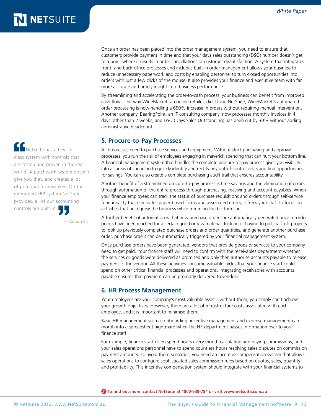Once an order has been placed into the order management system, you need to ensure that customers provide payment in time and that your days sales outstanding (DSO) number doesn't get to a point where it results in order cancellations or customer dissatisfaction. A system that integrates front- and back-office processes and includes built-in order management allows your business to reduce unnecessary paperwork and costs by enabling personnel to turn closed opportunities into orders with just a few clicks of the mouse. It also provides your finance and executive team with far more accurate and timely insight in to business performance.

By streamlining and accelerating the order-to-cash process, your business can benefit from improved cash flows, the way WineMarket, an online retailer, did. Using NetSuite, WineMarket's automated order processing is now handling a 650% increase in orders without requiring manual intervention. Another company, BearingPoint, an IT consulting company, now processes monthly invoices in 4 days rather than 2 weeks, and DSO (Days Sales Outstanding) has been cut by 30% without adding administrative headcount.

### **5. Procure-to-Pay Processes**

All businesses need to purchase services and equipment. Without strict purchasing and approval processes, you run the risk of employees engaging in maverick spending that can hurt your bottom line. A financial management system that handles the complete procure-to-pay process gives you visibility into all areas of spending to quickly identify and rectify any out-of-control costs and find opportunities for savings. You can also create a complete purchasing audit trail that ensures accountability.

Another benefit of a streamlined procure-to-pay process is time savings and the elimination of errors through automation of the entire process through purchasing, receiving and account payables. When your finance employees can track the status of purchase requisitions and orders through self-service functionality that eliminates paper-based forms and associated errors, it frees your staff to focus on activities that help grow the business while trimming the bottom line.

A further benefit of automation is that new purchase orders are automatically generated once re-order points have been reached for a certain good or raw material. Instead of having to pull staff off projects to look up previously completed purchase orders and order quantities, and generate another purchase order, purchase orders can be automatically triggered by your financial management system.

Once purchase orders have been generated, vendors that provide goods or services to your company need to get paid. Your finance staff will need to confirm with the receivables department whether the services or goods were delivered as promised and only then authorise accounts payable to release payment to the vendor. All these activities consume valuable cycles that your finance staff could spend on other critical financial processes and operations. Integrating receivables with accounts payable ensures that payment can be promptly delivered to vendors.

### **6. HR Process Management**

Your employees are your company's most valuable asset—without them, you simply can't achieve your growth objectives. However, there are a lot of infrastructure costs associated with each employee, and it is important to minimise them.

Basic HR management such as onboarding, incentive management and expense management can morph into a spreadsheet nightmare when the HR department passes information over to your finance staff.

For example, finance staff often spend hours every month calculating and paying commissions, and your sales operations personnel have to spend countless hours resolving sales disputes on commission payment amounts. To avoid these scenarios, you need an incentive compensation system that allows sales operations to configure sophisticated sales commission rules based on quotas, sales, quantity and profitability. This incentive compensation system should integrate with your financial systems to

 **To find out more, contact NetSuite at 1800-638-784 or visit www.netsuite.com.au**

 $\blacksquare$ NetSuite has a best-inclass system with controls that are tested and proven in the real world. A patchwork system doesn't give you that, and creates a lot of potential for mistakes. On the integrated ERP system NetSuite provides, all of our accounting controls are built-in.

— Antech Inc.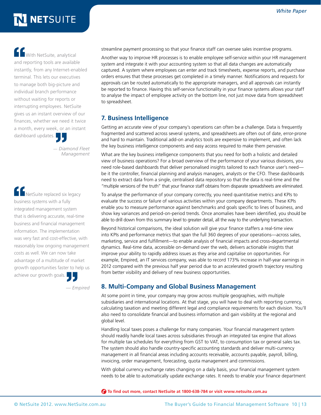**C** With NetSuite, analytical and reporting tools are available instantly, from any Internet-enabled terminal. This lets our executives to manage both big-picture and individual branch performance without waiting for reports or interrupting employees. NetSuite gives us an instant overview of our finances, whether we need it twice a month, every week, or an instant dashboard updates.

> — *Diamond Fleet Management*

**THE NetSuite replaced six legacy** business systems with a fully integrated management system that is delivering accurate, real-time business and financial management information. The implementation was very fast and cost-effective, with reasonably low ongoing management costs as well. We can now take advantage of a multitude of market growth opportunities faster to help us achieve our growth goals.

*— Empired* 

streamline payment processing so that your finance staff can oversee sales incentive programs.

Another way to improve HR processes is to enable employee self-service within your HR management system and integrate it with your accounting system so that all data changes are automatically captured. A system where employees can enter and track timesheets, expense reports, and purchase orders ensures that these processes get completed in a timely manner. Notifications and requests for approvals can be routed automatically to the appropriate managers, and all approvals can instantly be reported to finance. Having this self-service functionality in your finance systems allows your staff to analyse the impact of employee activity on the bottom line, not just move data from spreadsheet to spreadsheet.

### **7. Business Intelligence**

Getting an accurate view of your company's operations can often be a challenge. Data is frequently fragmented and scattered across several systems, and spreadsheets are often out of date, error-prone and hard to maintain. Traditional add-on analytics tools are expensive to implement, and often lack the key business intelligence components and easy access required to make them pervasive.

What are the key business intelligence components that you need for both a holistic and detailed view of business operations? For a broad overview of the performance of your various divisions, you need role-based dashboards that deliver personalised insights tailored to each finance user's need be it the controller, financial planning and analysis managers, analysts or the CFO. These dashboards need to extract data from a single, centralised data repository so that the data is real-time and the "multiple versions of the truth" that your finance staff obtains from disparate spreadsheets are eliminated.

To analyse the performance of your company correctly, you need quantitative metrics and KPIs to evaluate the success or failure of various activities within your company departments. These KPIs enable you to measure performance against benchmarks and goals specific to lines of business, and show key variances and period-on-period trends. Once anomalies have been identified, you should be able to drill down from this summary level to greater detail, all the way to the underlying transaction.

Beyond historical comparisons, the ideal solution will give your finance staffers a real-time view into KPIs and performance metrics that span the full 360 degrees of your operations—across sales, marketing, service and fulfillment—to enable analysis of financial impacts and cross-departmental dynamics. Real-time data, accessible on-demand over the web, delivers actionable insights that improve your ability to rapidly address issues as they arise and capitalise on opportunities. For example, Empired, an IT services company, was able to record 173% increase in half-year earnings in 2012 compared with the previous half year period due to an accelerated growth trajectory resulting from better visibility and delivery of new business opportunities.

### **8. Multi-Company and Global Business Management**

At some point in time, your company may grow across multiple geographies, with multiple subsidiaries and international locations. At that stage, you will have to deal with reporting currency, calculating taxation and meeting different legal and compliance requirements for each division. You'll also need to consolidate financial and business information and gain visibility at the regional and global level.

Handling local taxes poses a challenge for many companies. Your financial management system should readily handle local taxes across subsidiaries through an integrated tax engine that allows for multiple tax schedules for everything from GST to VAT, to consumption tax or general sales tax. The system should also handle country-specific accounting standards and deliver multi-currency management in all financial areas including accounts receivable, accounts payable, payroll, billing, invoicing, order management, forecasting, quota management and commissions.

With global currency exchange rates changing on a daily basis, your financial management system needs to be able to automatically update exchange rates. It needs to enable your finance department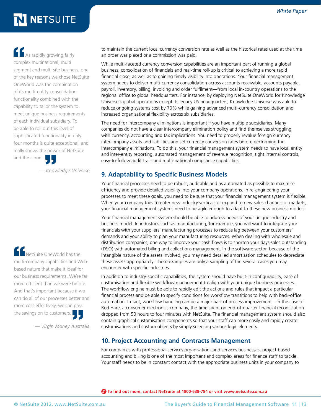**As** rapidly growing fairly complex multinational, multi segment and multi-site business, one of the key reasons we chose NetSuite OneWorld was the combination of its multi-entity consolidation functionality combined with the capability to tailor the system to meet unique business requirements of each individual subsidiary. To be able to roll out this level of sophisticated functionality in only four months is quite exceptional, and really shows the power of NetSuite and the cloud.

*— Knowledge Universe*

NetSuite OneWorld has the multi-company capabilities and Webbased nature that make it ideal for our business requirements. We're far more efficient than we were before. And that's important because if we can do all of our processes better and more cost-effectively, we can pass the savings on to customers.

*— Virgin Money Australia*

to maintain the current local currency conversion rate as well as the historical rates used at the time an order was placed or a commission was paid.

While multi-faceted currency conversion capabilities are an important part of running a global business, consolidation of financials and real-time roll-up is critical to achieving a more rapid financial close, as well as to gaining timely visibility into operations. Your financial management system needs to deliver multi-currency consolidation across accounts receivable, accounts payable, payroll, inventory, billing, invoicing and order fulfilment—from local in-country operations to the regional office to global headquarters. For instance, by deploying NetSuite OneWorld for Knowledge Universe's global operations except its legacy US headquarters, Knowledge Universe was able to reduce ongoing systems cost by 70% while gaining advanced multi-currency consolidation and increased organisational flexibility across six subsidiaries.

The need for intercompany eliminations is important if you have multiple subsidiaries. Many companies do not have a clear intercompany elimination policy and find themselves struggling with currency, accounting and tax implications. You need to properly revalue foreign currency intercompany assets and liabilities and set currency conversion rates before performing the intercompany eliminations. To do this, your financial management system needs to have local entity and inter-entity reporting, automated management of revenue recognition, tight internal controls, easy-to-follow audit trails and multi-national compliance capabilities.

### **9. Adaptability to Specific Business Models**

Your financial processes need to be robust, auditable and as automated as possible to maximise efficiency and provide detailed visibility into your company operations. In re-engineering your processes to meet these goals, you need to be sure that your financial management system is flexible. When your company tries to enter new industry verticals or expand to new sales channels or markets, your financial management systems need to be agile enough to adapt to these new business models.

Your financial management system should be able to address needs of your unique industry and business model. In industries such as manufacturing, for example, you will want to integrate your financials with your suppliers' manufacturing processes to reduce lag between your customers' demands and your ability to plan your manufacturing resources. When dealing with wholesale and distribution companies, one way to improve your cash flows is to shorten your days sales outstanding (DSO) with automated billing and collections management. In the software sector, because of the intangible nature of the assets involved, you may need detailed amortisation schedules to depreciate these assets appropriately. These examples are only a sampling of the several cases you may encounter with specific industries.

In addition to industry-specific capabilities, the system should have built-in configurability, ease of customisation and flexible workflow management to align with your unique business processes. The workflow engine must be able to rapidly edit the actions and rules that impact a particular financial process and be able to specify conditions for workflow transitions to help with back-office automation. In fact, workflow handling can be a major part of process improvement—in the case of Red Hare, a consumer electronics company, the time spent on end-of-quarter financial reconciliation dropped from 50 hours to four minutes with NetSuite. The financial management system should also contain graphical customisation components so that your staff can more easily and rapidly create customisations and custom objects by simply selecting various logic elements.

### **10. Project Accounting and Contracts Management**

For companies with professional services organisations and services businesses, project-based accounting and billing is one of the most important and complex areas for finance staff to tackle. Your staff needs to be in constant contact with the appropriate business units in your company to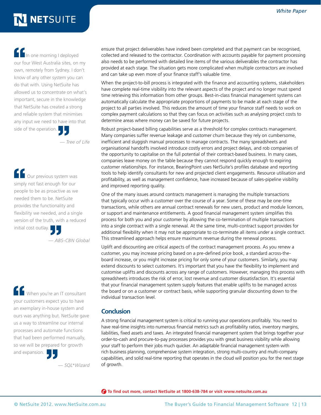In one morning I deployed our four West Australia sites, on my own, remotely from Sydney. I don't know of any other system you can do that with. Using NetSuite has allowed us to concentrate on what's important, secure in the knowledge that NetSuite has created a strong and reliable system that minimises any input we need to have into that side of the operation.

*— Tree of Life*

 Our previous system was simply not fast enough for our people to be as proactive as we needed them to be. NetSuite provides the functionality and flexibility we needed, and a single version of the truth, with a reduced initial cost outlay.

*— ABS-CBN Global*

 When you're an IT consultant your customers expect you to have an exemplary in-house system and ours was anything but. NetSuite gave us a way to streamline our internal processes and automate functions that had been performed manually, so we will be prepared for growth and expansion.

*— SQL\*Wizard*

ensure that project deliverables have indeed been completed and that payment can be recognised, collected and released to the contractor. Coordination with accounts payable for payment processing also needs to be performed with detailed line items of the various deliverables the contractor has provided at each stage. The situation gets more complicated when multiple contractors are involved and can take up even more of your finance staff's valuable time.

When the project-to-bill process is integrated with the finance and accounting systems, stakeholders have complete real-time visibility into the relevant aspects of the project and no longer must spend time retrieving this information from other groups. Best-in-class financial management systems can automatically calculate the appropriate proportions of payments to be made at each stage of the project to all parties involved. This reduces the amount of time your finance staff needs to work on complex payment calculations so that they can focus on activities such as analysing project costs to determine areas where money can be saved for future projects.

Robust project-based billing capabilities serve as a threshold for complex contracts management. Many companies suffer revenue leakage and customer churn because they rely on cumbersome, inefficient and sluggish manual processes to manage contracts. The many spreadsheets and organisational handoffs involved introduce costly errors and project delays, and rob companies of the opportunity to capitalise on the full potential of their contract-based business. In many cases, companies leave money on the table because they cannot respond quickly enough to expiring customer relationships. For instance, BearingPoint uses NetSuite's profiles database and reporting tools to help identify consultants for new and projected client engagements. Resource utilisation and profitability, as well as management confidence, have increased because of sales-pipeline visibility and improved reporting quality.

One of the many issues around contracts management is managing the multiple transactions that typically occur with a customer over the course of a year. Some of these may be one-time transactions, while others are annual contract renewals for new users, product and module licences, or support and maintenance entitlements. A good financial management system simplifies this process for both you and your customer by allowing the co-termination of multiple transactions into a single contract with a single renewal. At the same time, multi-contract support provides for additional flexibility when it may not be appropriate to co-terminate all items under a single contract. This streamlined approach helps ensure maximum revenue during the renewal process.

Uplift and discounting are critical aspects of the contract management process. As you renew a customer, you may increase pricing based on a pre-defined price book, a standard across-theboard increase, or you might increase pricing for only some of your customers. Similarly, you may extend discounts to select customers. It's important that you have the flexibility to implement and customise uplifts and discounts across any range of customers. However, managing this process with spreadsheets introduces the risk of error, lost revenue and customer dissatisfaction. It's essential that your financial management system supply features that enable uplifts to be managed across the board or on a customer or contract basis, while supporting granular discounting down to the individual transaction level.

### **Conclusion**

A strong financial management system is critical to running your operations profitably. You need to have real-time insights into numerous financial metrics such as profitability ratios, inventory margins, liabilities, fixed assets and taxes. An integrated financial management system that brings together your order-to-cash and procure-to-pay processes provides you with great business visibility while allowing your staff to perform their jobs much quicker. An adaptable financial management system with rich business planning, comprehensive system integration, strong multi-country and multi-company capabilities, and solid real-time reporting that operates in the cloud will position you for the next stage of growth.